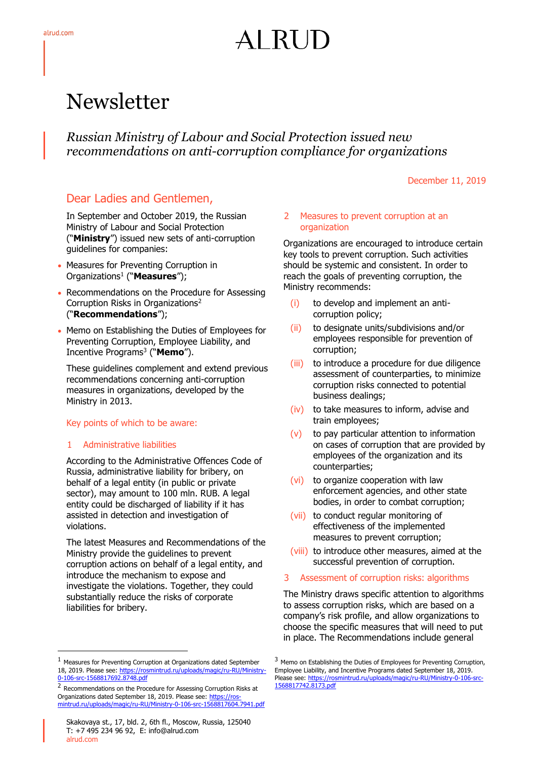# ALRUD

# Newsletter

*Russian Ministry of Labour and Social Protection issued new recommendations on anti-corruption compliance for organizations*

December 11, 2019

## Dear Ladies and Gentlemen,

In September and October 2019, the Russian Ministry of Labour and Social Protection ("**Ministry**") issued new sets of anti-corruption guidelines for companies:

- Measures for Preventing Corruption in Organizations<sup>1</sup> ("**Measures**");
- Recommendations on the Procedure for Assessing Corruption Risks in Organizations<sup>2</sup> ("**Recommendations**");
- Memo on Establishing the Duties of Employees for Preventing Corruption, Employee Liability, and Incentive Programs<sup>3</sup> ("**Memo**").

These guidelines complement and extend previous recommendations concerning anti-corruption measures in organizations, developed by the Ministry in 2013.

#### Key points of which to be aware:

#### 1 Administrative liabilities

-

According to the Administrative Offences Code of Russia, administrative liability for bribery, on behalf of a legal entity (in public or private sector), may amount to 100 mln. RUB. A legal entity could be discharged of liability if it has assisted in detection and investigation of violations.

The latest Measures and Recommendations of the Ministry provide the guidelines to prevent corruption actions on behalf of a legal entity, and introduce the mechanism to expose and investigate the violations. Together, they could substantially reduce the risks of corporate liabilities for bribery.

#### 2 Measures to prevent corruption at an organization

Organizations are encouraged to introduce certain key tools to prevent corruption. Such activities should be systemic and consistent. In order to reach the goals of preventing corruption, the Ministry recommends:

- (i) to develop and implement an anticorruption policy;
- (ii) to designate units/subdivisions and/or employees responsible for prevention of corruption;
- (iii) to introduce a procedure for due diligence assessment of counterparties, to minimize corruption risks connected to potential business dealings;
- (iv) to take measures to inform, advise and train employees;
- (v) to pay particular attention to information on cases of corruption that are provided by employees of the organization and its counterparties;
- (vi) to organize cooperation with law enforcement agencies, and other state bodies, in order to combat corruption;
- (vii) to conduct regular monitoring of effectiveness of the implemented measures to prevent corruption;
- (viii) to introduce other measures, aimed at the successful prevention of corruption.
- 3 Assessment of corruption risks: algorithms

The Ministry draws specific attention to algorithms to assess corruption risks, which are based on a company's risk profile, and allow organizations to choose the specific measures that will need to put in place. The Recommendations include general

<sup>1</sup> Measures for Preventing Corruption at Organizations dated September 18, 2019. Please see[: https://rosmintrud.ru/uploads/magic/ru-RU/Ministry-](https://rosmintrud.ru/uploads/magic/ru-RU/Ministry-0-106-src-1568817692.8748.pdf)[0-106-src-1568817692.8748.pdf](https://rosmintrud.ru/uploads/magic/ru-RU/Ministry-0-106-src-1568817692.8748.pdf)

<sup>&</sup>lt;sup>2</sup> Recommendations on the Procedure for Assessing Corruption Risks at Organizations dated September 18, 2019. Please see: [https://ros](https://rosmintrud.ru/uploads/magic/ru-RU/Ministry-0-106-src-1568817604.7941.pdf)[mintrud.ru/uploads/magic/ru-RU/Ministry-0-106-src-1568817604.7941.pdf](https://rosmintrud.ru/uploads/magic/ru-RU/Ministry-0-106-src-1568817604.7941.pdf)

<sup>&</sup>lt;sup>3</sup> Memo on Establishing the Duties of Employees for Preventing Corruption, Employee Liability, and Incentive Programs dated September 18, 2019. Please see: https://rosmintrud.ru/uploads/magic/ru-RU/Ministry-0-106-[1568817742.8173.pdf](https://rosmintrud.ru/uploads/magic/ru-RU/Ministry-0-106-src-1568817742.8173.pdf)